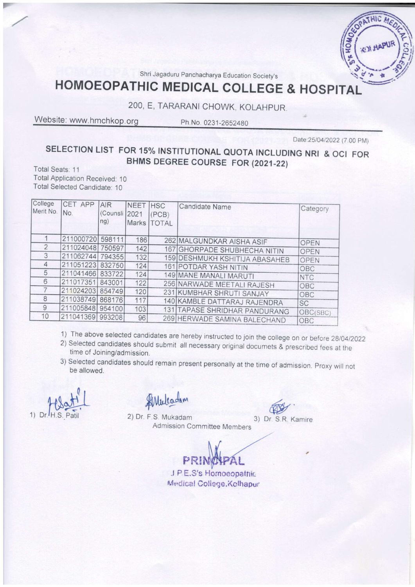Shri Jagaduru Panchacharya Education Society's

# **HOMOEOPATHIC MEDICAL COLLEGE & HOSPITAL**

## 200, E, TARARANI CHOWK, KOLAHPUR.

Website: www.hmchkop.org

Ph.No. 0231-2652480

Date: 25/04/2022 (7.00 PM)

uic

## SELECTION LIST FOR 15% INSTITUTIONAL QUOTA INCLUDING NRI & OCI FOR BHMS DEGREE COURSE FOR (2021-22)

Total Seats: 11 **Total Application Received: 10** Total Selected Candidate: 10

| College<br>Merit No. | CET APP<br>No.   | AIR<br>(Counsli<br>ng) | <b>NEET</b><br>2021 | <b>HSC</b><br>(PCB)<br>Marks   TOTAL | Candidate Name                 | Category        |
|----------------------|------------------|------------------------|---------------------|--------------------------------------|--------------------------------|-----------------|
|                      | 211000720        | 598111                 | 186                 |                                      | 262 MALGUNDKAR AISHA ASIF      | <b>OPEN</b>     |
| $\mathcal{P}$        | 211024048        | 750597                 | 142                 |                                      | 167 GHORPADE SHUBHECHA NITIN   | OPEN            |
| 3                    | 211062744        | 794355                 | 132                 |                                      | 159 DESHMUKH KSHITIJA ABASAHEB | OPEN            |
| $\overline{4}$       | 211051223        | 832750                 | 124                 |                                      | 161 POTDAR YASH NITIN          | OBC             |
| 5                    | 211041466 833722 |                        | 124                 |                                      | 149 MANE MANALI MARUTI         | <b>NTC</b>      |
| 6                    | 211017351        | 843001                 | 122                 |                                      | 256 NARWADE MEETALI RAJESH     | OBC             |
|                      | 211024203        | 854749                 | 120                 |                                      | 231 KUMBHAR SHRUTI SANJAY      | OBC             |
| 8                    | 211038749        | 868176                 | 117                 |                                      | 140 KAMBLE DATTARAJ RAJENDRA   |                 |
| 9                    | 211005848        | 954100                 | 103                 |                                      | 131 TAPASE SHRIDHAR PANDURANG  | <b>SC</b>       |
| 10                   | 211041369        | 993208                 | 96                  |                                      | 269 HERWADE SAMINA BALECHAND   | OBC(SBC)<br>OBC |

- 1) The above selected candidates are hereby instructed to join the college on or before 28/04/2022
- 2) Selected candidates should submit all necessary original documets & prescribed fees at the time of Joining/admission.
- 3) Selected candidates should remain present personally at the time of admission. Proxy will not be allowed.

1)  $Dr.$ 

Mulcadam

2) Dr. F.S. Mukadam Admission Committee Members

3) Dr. S.R. Kamire

J.P.E.S's Homoeopathic Medical College, Kolhapur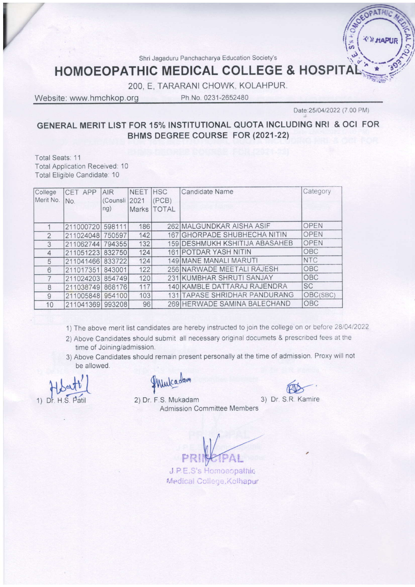Shri Jagaduru Panchacharya Education Society's

## HOMOEOPATHIC MEDICAL COLLEGE & HOSP

2OO, E, TARARANI CHOWK, KOLAHPUR

Website: www.hmchkop.org Ph.No. 0231-2652480

I

Date: 25/04/2022 (7.00 PM)

#### GENERAL MERIT LIST FOR 15% INSTITUTIONAL OUOTA INCLUDING NRI & OCI FOR BHMS DEGREE COURSE FOR 12021-221

Total Seats: 11 Total Application Received. 10 Total Eligible Candidate: 10

| College<br>Merit No. | CET APP          | AIR           | <b>NEET</b>  | <b>HSC</b>   | <b>Candidate Name</b>          | Category    |
|----------------------|------------------|---------------|--------------|--------------|--------------------------------|-------------|
|                      | No.              | (Counsli 2021 |              | (PCB)        |                                |             |
|                      |                  | ng)           | <b>Marks</b> | <b>TOTAL</b> |                                |             |
|                      | 211000720        | 598111        | 186          |              | 262 MALGUNDKAR AISHA ASIF      | OPEN        |
| $\mathfrak{D}$       | 211024048        | 750597        | 142          |              | 167 GHORPADE SHUBHECHA NITIN   | OPEN        |
| 3                    | 211062744        | 794355        | 132          |              | 159 DESHMUKH KSHITIJA ABASAHEB | <b>OPEN</b> |
| $\overline{4}$       | 211051223        | 832750        | 124          |              | 161 POTDAR YASH NITIN          | OBC         |
| 5                    | 211041466 833722 |               | 124          |              | 149 MANE MANALI MARUTI         | <b>NTC</b>  |
| 6                    | 211017351        | 843001        | 122          |              | 256 NARWADE MEETALI RAJESH     | OBC         |
|                      | 211024203 854749 |               | 120          |              | 231 KUMBHAR SHRUTI SANJAY      | OBC         |
| 8                    | 211038749 868176 |               | 117          |              | 140 KAMBLE DATTARAJ RAJENDRA   | <b>SC</b>   |
| 9                    | 211005848        | 954100        | 103          |              | 131 TAPASE SHRIDHAR PANDURANG  | OBC(SBC)    |
| 10                   | 211041369        | 993208        | 96           |              | 269 HERWADE SAMINA BALECHAND   | OBC         |

- 1) The above merit list candidates are hereby instructed to join the college on or before 28/04/2022
- 2) Above Candidates should submit all necessary original documets & prescribed fees at the time of Joining/admission.
- 3) Above Candidates should remain present personally at the time of admission. Proxy wlll not be allowed.

1)  $Dr$ , H.S

Wulcadam

**RD** 

2) Dr. F.S. Mukadam Admission Committee Members

R. Kamire

AL

J.P.E.S's Homoeopathic Medical College, Kolhapur